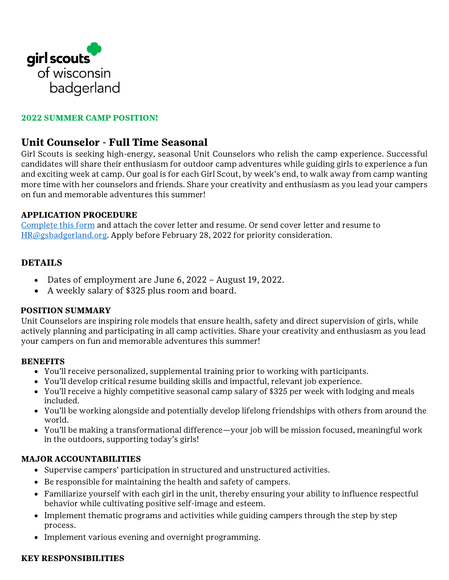

# **2022 SUMMER CAMP POSITION!**

# **Unit Counselor - Full Time Seasonal**

Girl Scouts is seeking high-energy, seasonal Unit Counselors who relish the camp experience. Successful candidates will share their enthusiasm for outdoor camp adventures while guiding girls to experience a fun and exciting week at camp. Our goal is for each Girl Scout, by week's end, to walk away from camp wanting more time with her counselors and friends. Share your creativity and enthusiasm as you lead your campers on fun and memorable adventures this summer!

## **APPLICATION PROCEDURE**

[Complete this form](https://girlscoutsbadgerland.wufoo.com/forms/st4083512micfh/) and attach the cover letter and resume. Or send cover letter and resume to [HR@gsbadgerland.org.](mailto:HR@gsbadgerland.org) Apply before February 28, 2022 for priority consideration.

## **DETAILS**

- Dates of employment are June 6, 2022 August 19, 2022.
- A weekly salary of \$325 plus room and board.

#### **POSITION SUMMARY**

Unit Counselors are inspiring role models that ensure health, safety and direct supervision of girls, while actively planning and participating in all camp activities. Share your creativity and enthusiasm as you lead your campers on fun and memorable adventures this summer!

#### **BENEFITS**

- You'll receive personalized, supplemental training prior to working with participants.
- You'll develop critical resume building skills and impactful, relevant job experience.
- You'll receive a highly competitive seasonal camp salary of \$325 per week with lodging and meals included.
- You'll be working alongside and potentially develop lifelong friendships with others from around the world.
- You'll be making a transformational difference—your job will be mission focused, meaningful work in the outdoors, supporting today's girls!

## **MAJOR ACCOUNTABILITIES**

- Supervise campers' participation in structured and unstructured activities.
- Be responsible for maintaining the health and safety of campers.
- Familiarize yourself with each girl in the unit, thereby ensuring your ability to influence respectful behavior while cultivating positive self-image and esteem.
- Implement thematic programs and activities while guiding campers through the step by step process.
- Implement various evening and overnight programming.

#### **KEY RESPONSIBILITIES**